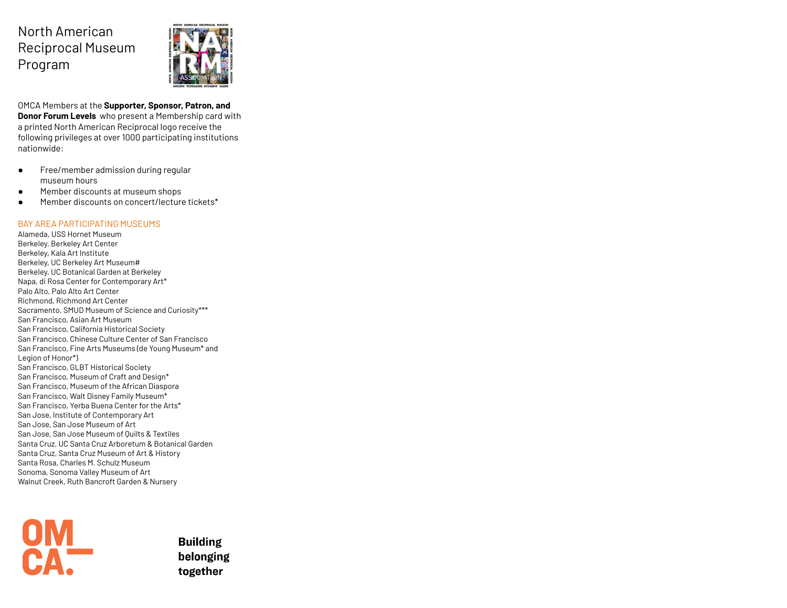## North American Reciprocal Museum Program



OMCA Members at the **Supporter, Sponsor, Patron, and Donor Forum Levels** who present a Membership card with a printed North American Reciprocal logo receive the following privileges at over 1000 participating institutions nationwide:

- Free/member admission during regular museum hours
- Member discounts at museum shops
- Member discounts on concert/lecture tickets\*

## BAY AREA PARTICIPATING MUSEUMS

Alameda, USS Hornet Museum Berkeley, Berkeley Art Center Berkeley, Kala Art Institute Berkeley, UC Berkeley Art Museum# Berkeley, UC Botanical Garden at Berkeley Napa, di Rosa Center for Contemporary Art\* Palo Alto, Palo Alto Art Center Richmond, Richmond Art Center Sacramento, SMUD Museum of Science and Curiosity\*\*\* San Francisco, Asian Art Museum San Francisco, California Historical Society San Francisco, Chinese Culture Center of San Francisco San Francisco, Fine Arts Museums (de Young Museum\* and Legion of Honor\*) San Francisco, GLBT Historical Society San Francisco, Museum of Craft and Design\* San Francisco, Museum of the African Diaspora San Francisco, Walt Disney Family Museum\* San Francisco, Yerba Buena Center for the Arts\* San Jose, Institute of Contemporary Art San Jose, San Jose Museum of Art San Jose, San Jose Museum of Quilts & Textiles Santa Cruz, UC Santa Cruz Arboretum & Botanical Garden Santa Cruz, Santa Cruz Museum of Art & History Santa Rosa, Charles M. Schulz Museum Sonoma, Sonoma Valley Museum of Art Walnut Creek, Ruth Bancroft Garden & Nursery



**Building** belonging together